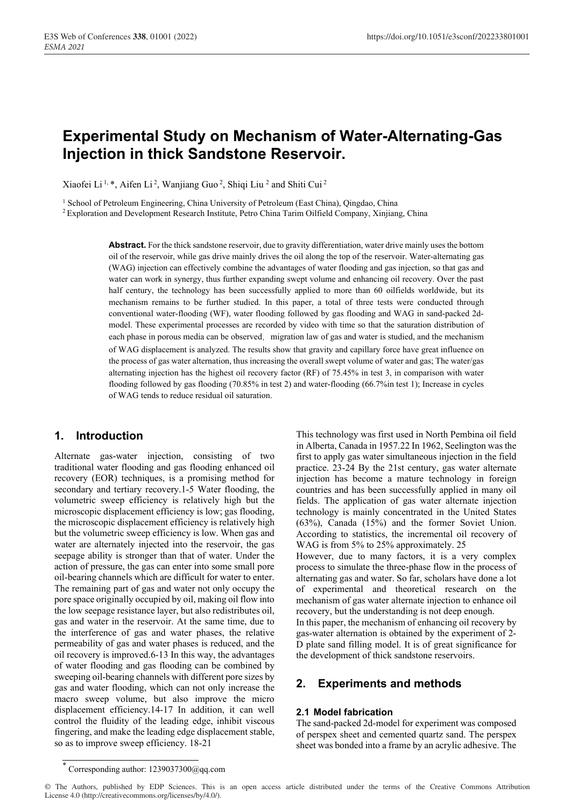# **Experimental Study on Mechanism of Water-Alternating-Gas Injection in thick Sandstone Reservoir.**

Xiaofei Li<sup>1,\*</sup>, Aifen Li<sup>2</sup>, Wanjiang Guo<sup>2</sup>, Shiqi Liu<sup>2</sup> and Shiti Cui<sup>2</sup>

<sup>1</sup> School of Petroleum Engineering, China University of Petroleum (East China), Qingdao, China<br><sup>2</sup> Exploration and Development Research Institute, Petro China Tarim Oilfield Company, Xinjiang, China

**Abstract.** For the thick sandstone reservoir, due to gravity differentiation, water drive mainly uses the bottom oil of the reservoir, while gas drive mainly drives the oil along the top of the reservoir. Water-alternating gas (WAG) injection can effectively combine the advantages of water flooding and gas injection, so that gas and water can work in synergy, thus further expanding swept volume and enhancing oil recovery. Over the past half century, the technology has been successfully applied to more than 60 oilfields worldwide, but its mechanism remains to be further studied. In this paper, a total of three tests were conducted through conventional water-flooding (WF), water flooding followed by gas flooding and WAG in sand-packed 2dmodel. These experimental processes are recorded by video with time so that the saturation distribution of each phase in porous media can be observed, migration law of gas and water is studied, and the mechanism of WAG displacement is analyzed. The results show that gravity and capillary force have great influence on the process of gas water alternation, thus increasing the overall swept volume of water and gas; The water/gas alternating injection has the highest oil recovery factor (RF) of 75.45% in test 3, in comparison with water flooding followed by gas flooding (70.85% in test 2) and water-flooding (66.7%in test 1); Increase in cycles of WAG tends to reduce residual oil saturation.

### **1. Introduction**

Alternate gas-water injection, consisting of two traditional water flooding and gas flooding enhanced oil recovery (EOR) techniques, is a promising method for secondary and tertiary recovery.1-5 Water flooding, the volumetric sweep efficiency is relatively high but the microscopic displacement efficiency is low; gas flooding, the microscopic displacement efficiency is relatively high but the volumetric sweep efficiency is low. When gas and water are alternately injected into the reservoir, the gas seepage ability is stronger than that of water. Under the action of pressure, the gas can enter into some small pore oil-bearing channels which are difficult for water to enter. The remaining part of gas and water not only occupy the pore space originally occupied by oil, making oil flow into the low seepage resistance layer, but also redistributes oil, gas and water in the reservoir. At the same time, due to the interference of gas and water phases, the relative permeability of gas and water phases is reduced, and the oil recovery is improved.6-13 In this way, the advantages of water flooding and gas flooding can be combined by sweeping oil-bearing channels with different pore sizes by gas and water flooding, which can not only increase the macro sweep volume, but also improve the micro displacement efficiency.14-17 In addition, it can well control the fluidity of the leading edge, inhibit viscous fingering, and make the leading edge displacement stable, so as to improve sweep efficiency. 18-21

This technology was first used in North Pembina oil field in Alberta, Canada in 1957.22 In 1962, Seelington was the first to apply gas water simultaneous injection in the field practice. 23-24 By the 21st century, gas water alternate injection has become a mature technology in foreign countries and has been successfully applied in many oil fields. The application of gas water alternate injection technology is mainly concentrated in the United States (63%), Canada (15%) and the former Soviet Union. According to statistics, the incremental oil recovery of WAG is from 5% to 25% approximately. 25 However, due to many factors, it is a very complex

process to simulate the three-phase flow in the process of alternating gas and water. So far, scholars have done a lot of experimental and theoretical research on the mechanism of gas water alternate injection to enhance oil recovery, but the understanding is not deep enough.

In this paper, the mechanism of enhancing oil recovery by gas-water alternation is obtained by the experiment of 2- D plate sand filling model. It is of great significance for the development of thick sandstone reservoirs.

### **2. Experiments and methods**

#### **2.1 Model fabrication**

The sand-packed 2d-model for experiment was composed of perspex sheet and cemented quartz sand. The perspex sheet was bonded into a frame by an acrylic adhesive. The

<sup>\*</sup> Corresponding author: 1239037300@qq.com

<sup>©</sup> The Authors, published by EDP Sciences. This is an open access article distributed under the terms of the Creative Commons Attribution License 4.0 (http://creativecommons.org/licenses/by/4.0/).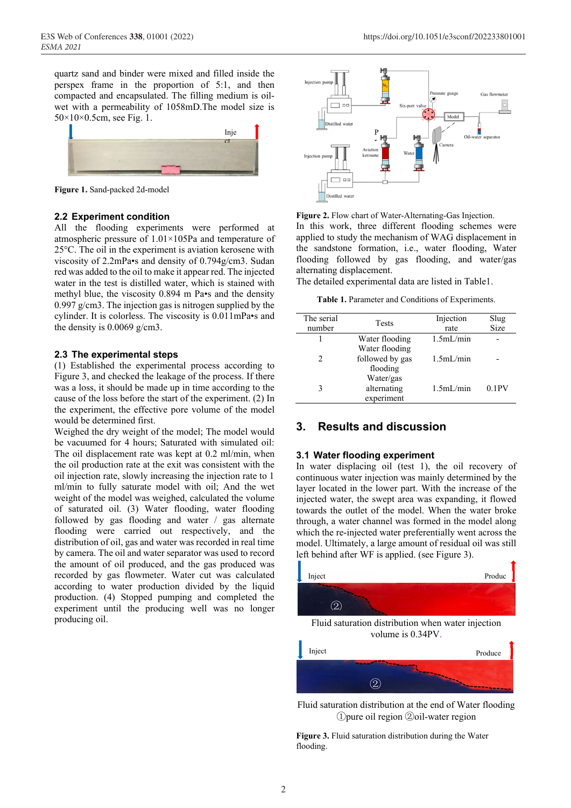quartz sand and binder were mixed and filled inside the perspex frame in the proportion of 5:1, and then compacted and encapsulated. The filling medium is oilwet with a permeability of 1058mD.The model size is 50×10×0.5cm, see Fig. 1.



**Figure 1.** Sand-packed 2d-model

### **2.2 Experiment condition**

All the flooding experiments were performed at atmospheric pressure of 1.01×105Pa and temperature of 25°C. The oil in the experiment is aviation kerosene with viscosity of 2.2mPa•s and density of 0.794g/cm3. Sudan red was added to the oil to make it appear red. The injected water in the test is distilled water, which is stained with methyl blue, the viscosity 0.894 m Pa•s and the density 0.997 g/cm3. The injection gas is nitrogen supplied by the cylinder. It is colorless. The viscosity is 0.011mPa•s and the density is 0.0069 g/cm3.

#### **2.3 The experimental steps**

(1) Established the experimental process according to Figure 3, and checked the leakage of the process. If there was a loss, it should be made up in time according to the cause of the loss before the start of the experiment. (2) In the experiment, the effective pore volume of the model would be determined first.

Weighed the dry weight of the model; The model would be vacuumed for 4 hours; Saturated with simulated oil: The oil displacement rate was kept at 0.2 ml/min, when the oil production rate at the exit was consistent with the oil injection rate, slowly increasing the injection rate to 1 ml/min to fully saturate model with oil; And the wet weight of the model was weighed, calculated the volume of saturated oil. (3) Water flooding, water flooding followed by gas flooding and water / gas alternate flooding were carried out respectively, and the distribution of oil, gas and water was recorded in real time by camera. The oil and water separator was used to record the amount of oil produced, and the gas produced was recorded by gas flowmeter. Water cut was calculated according to water production divided by the liquid production. (4) Stopped pumping and completed the experiment until the producing well was no longer producing oil.



**Figure 2.** Flow chart of Water-Alternating-Gas Injection. In this work, three different flooding schemes were applied to study the mechanism of WAG displacement in the sandstone formation, i.e., water flooding, Water flooding followed by gas flooding, and water/gas alternating displacement.

The detailed experimental data are listed in Table1.

**Table 1.** Parameter and Conditions of Experiments.

| The serial<br>number          | <b>Tests</b>                                  | Injection<br>rate | Slug<br>Size |
|-------------------------------|-----------------------------------------------|-------------------|--------------|
|                               | Water flooding                                | 1.5mL/min         |              |
| $\mathfrak{D}_{\mathfrak{p}}$ | Water flooding<br>followed by gas<br>flooding | 1.5mL/min         |              |
|                               | Water/gas<br>alternating<br>experiment        | 1.5mL/min         | 0.1PV        |

### **3. Results and discussion**

### **3.1 Water flooding experiment**

In water displacing oil (test 1), the oil recovery of continuous water injection was mainly determined by the layer located in the lower part. With the increase of the injected water, the swept area was expanding, it flowed towards the outlet of the model. When the water broke through, a water channel was formed in the model along which the re-injected water preferentially went across the model. Ultimately, a large amount of residual oil was still left behind after WF is applied. (see Figure 3).



Fluid saturation distribution at the end of Water flooding ①pure oil region ②oil-water region

**Figure 3.** Fluid saturation distribution during the Water flooding.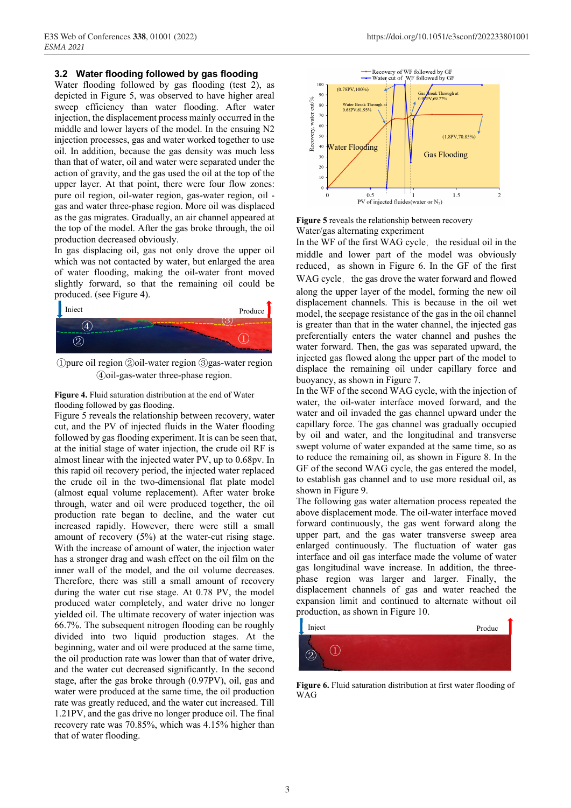#### **3.2 Water flooding followed by gas flooding**

Water flooding followed by gas flooding (test 2), as depicted in Figure 5, was observed to have higher areal sweep efficiency than water flooding. After water injection, the displacement process mainly occurred in the middle and lower layers of the model. In the ensuing N2 injection processes, gas and water worked together to use oil. In addition, because the gas density was much less than that of water, oil and water were separated under the action of gravity, and the gas used the oil at the top of the upper layer. At that point, there were four flow zones: pure oil region, oil-water region, gas-water region, oil gas and water three-phase region. More oil was displaced as the gas migrates. Gradually, an air channel appeared at the top of the model. After the gas broke through, the oil production decreased obviously.

In gas displacing oil, gas not only drove the upper oil which was not contacted by water, but enlarged the area of water flooding, making the oil-water front moved slightly forward, so that the remaining oil could be produced. (see Figure 4).



①pure oil region ②oil-water region ③gas-water region ④oil-gas-water three-phase region.

**Figure 4.** Fluid saturation distribution at the end of Water flooding followed by gas flooding.

Figure 5 reveals the relationship between recovery, water cut, and the PV of injected fluids in the Water flooding followed by gas flooding experiment. It is can be seen that, at the initial stage of water injection, the crude oil RF is almost linear with the injected water PV, up to 0.68pv. In this rapid oil recovery period, the injected water replaced the crude oil in the two-dimensional flat plate model (almost equal volume replacement). After water broke through, water and oil were produced together, the oil production rate began to decline, and the water cut increased rapidly. However, there were still a small amount of recovery (5%) at the water-cut rising stage. With the increase of amount of water, the injection water has a stronger drag and wash effect on the oil film on the inner wall of the model, and the oil volume decreases. Therefore, there was still a small amount of recovery during the water cut rise stage. At 0.78 PV, the model produced water completely, and water drive no longer yielded oil. The ultimate recovery of water injection was 66.7%. The subsequent nitrogen flooding can be roughly divided into two liquid production stages. At the beginning, water and oil were produced at the same time, the oil production rate was lower than that of water drive, and the water cut decreased significantly. In the second stage, after the gas broke through (0.97PV), oil, gas and water were produced at the same time, the oil production rate was greatly reduced, and the water cut increased. Till 1.21PV, and the gas drive no longer produce oil. The final recovery rate was 70.85%, which was 4.15% higher than that of water flooding.



**Figure 5** reveals the relationship between recovery Water/gas alternating experiment

In the WF of the first WAG cycle, the residual oil in the middle and lower part of the model was obviously reduced, as shown in Figure 6. In the GF of the first WAG cycle, the gas drove the water forward and flowed along the upper layer of the model, forming the new oil displacement channels. This is because in the oil wet model, the seepage resistance of the gas in the oil channel is greater than that in the water channel, the injected gas preferentially enters the water channel and pushes the water forward. Then, the gas was separated upward, the injected gas flowed along the upper part of the model to displace the remaining oil under capillary force and buoyancy, as shown in Figure 7.

In the WF of the second WAG cycle, with the injection of water, the oil-water interface moved forward, and the water and oil invaded the gas channel upward under the capillary force. The gas channel was gradually occupied by oil and water, and the longitudinal and transverse swept volume of water expanded at the same time, so as to reduce the remaining oil, as shown in Figure 8. In the GF of the second WAG cycle, the gas entered the model, to establish gas channel and to use more residual oil, as shown in Figure 9.

The following gas water alternation process repeated the above displacement mode. The oil-water interface moved forward continuously, the gas went forward along the upper part, and the gas water transverse sweep area enlarged continuously. The fluctuation of water gas interface and oil gas interface made the volume of water gas longitudinal wave increase. In addition, the threephase region was larger and larger. Finally, the displacement channels of gas and water reached the expansion limit and continued to alternate without oil production, as shown in Figure 10.



**Figure 6.** Fluid saturation distribution at first water flooding of **WAG**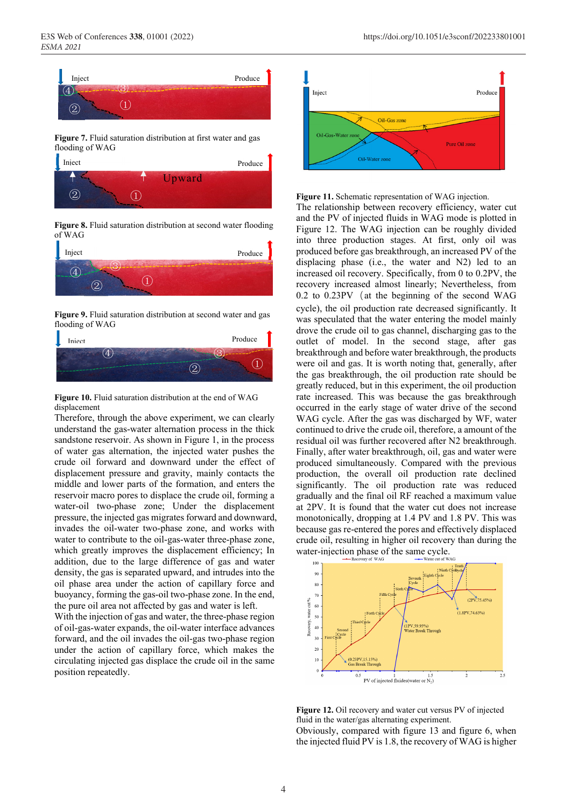



**Figure 8.** Fluid saturation distribution at second water flooding of WAG



**Figure 9.** Fluid saturation distribution at second water and gas flooding of WAG



**Figure 10.** Fluid saturation distribution at the end of WAG displacement

Therefore, through the above experiment, we can clearly understand the gas-water alternation process in the thick sandstone reservoir. As shown in Figure 1, in the process of water gas alternation, the injected water pushes the crude oil forward and downward under the effect of displacement pressure and gravity, mainly contacts the middle and lower parts of the formation, and enters the reservoir macro pores to displace the crude oil, forming a water-oil two-phase zone; Under the displacement pressure, the injected gas migrates forward and downward, invades the oil-water two-phase zone, and works with water to contribute to the oil-gas-water three-phase zone, which greatly improves the displacement efficiency; In addition, due to the large difference of gas and water density, the gas is separated upward, and intrudes into the oil phase area under the action of capillary force and buoyancy, forming the gas-oil two-phase zone. In the end, the pure oil area not affected by gas and water is left.

With the injection of gas and water, the three-phase region of oil-gas-water expands, the oil-water interface advances forward, and the oil invades the oil-gas two-phase region under the action of capillary force, which makes the circulating injected gas displace the crude oil in the same position repeatedly.



**Figure 11.** Schematic representation of WAG injection.

The relationship between recovery efficiency, water cut and the PV of injected fluids in WAG mode is plotted in Figure 12. The WAG injection can be roughly divided into three production stages. At first, only oil was produced before gas breakthrough, an increased PV of the displacing phase (i.e., the water and N2) led to an increased oil recovery. Specifically, from 0 to 0.2PV, the recovery increased almost linearly; Nevertheless, from  $0.2$  to  $0.23$ PV (at the beginning of the second WAG cycle), the oil production rate decreased significantly. It was speculated that the water entering the model mainly drove the crude oil to gas channel, discharging gas to the outlet of model. In the second stage, after gas breakthrough and before water breakthrough, the products were oil and gas. It is worth noting that, generally, after the gas breakthrough, the oil production rate should be greatly reduced, but in this experiment, the oil production rate increased. This was because the gas breakthrough occurred in the early stage of water drive of the second WAG cycle. After the gas was discharged by WF, water continued to drive the crude oil, therefore, a amount of the residual oil was further recovered after N2 breakthrough. Finally, after water breakthrough, oil, gas and water were produced simultaneously. Compared with the previous production, the overall oil production rate declined significantly. The oil production rate was reduced gradually and the final oil RF reached a maximum value at 2PV. It is found that the water cut does not increase monotonically, dropping at 1.4 PV and 1.8 PV. This was because gas re-entered the pores and effectively displaced crude oil, resulting in higher oil recovery than during the water-injection phase of the same cycle.



**Figure 12.** Oil recovery and water cut versus PV of injected fluid in the water/gas alternating experiment. Obviously, compared with figure 13 and figure 6, when the injected fluid PV is 1.8, the recovery of WAG is higher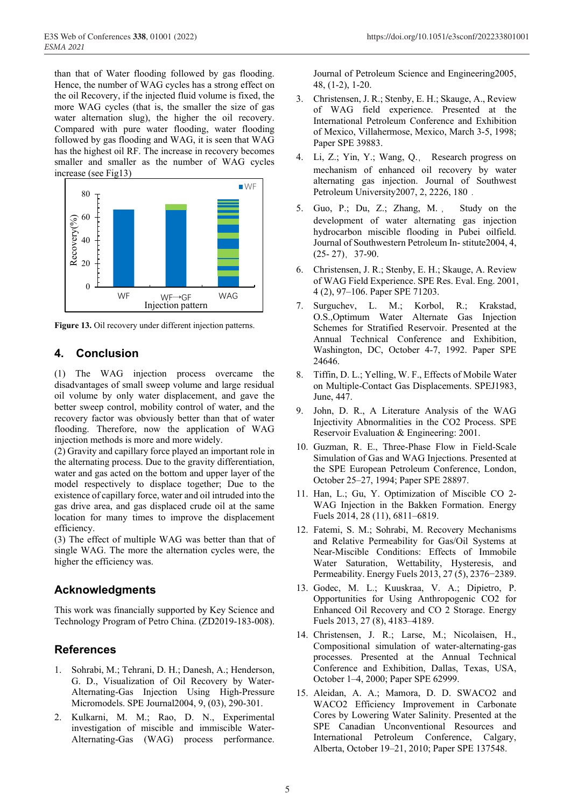than that of Water flooding followed by gas flooding. Hence, the number of WAG cycles has a strong effect on the oil Recovery, if the injected fluid volume is fixed, the more WAG cycles (that is, the smaller the size of gas water alternation slug), the higher the oil recovery. Compared with pure water flooding, water flooding followed by gas flooding and WAG, it is seen that WAG has the highest oil RF. The increase in recovery becomes smaller and smaller as the number of WAG cycles increase (see Fig13)



Figure 13. Oil recovery under different injection patterns.

# **4. Conclusion**

(1) The WAG injection process overcame the disadvantages of small sweep volume and large residual oil volume by only water displacement, and gave the better sweep control, mobility control of water, and the recovery factor was obviously better than that of water flooding. Therefore, now the application of WAG injection methods is more and more widely.

(2) Gravity and capillary force played an important role in the alternating process. Due to the gravity differentiation, water and gas acted on the bottom and upper layer of the model respectively to displace together; Due to the existence of capillary force, water and oil intruded into the gas drive area, and gas displaced crude oil at the same location for many times to improve the displacement efficiency.

(3) The effect of multiple WAG was better than that of single WAG. The more the alternation cycles were, the higher the efficiency was.

# **Acknowledgments**

This work was financially supported by Key Science and Technology Program of Petro China. (ZD2019-183-008).

# **References**

- 1. Sohrabi, M.; Tehrani, D. H.; Danesh, A.; Henderson, G. D., Visualization of Oil Recovery by Water-Alternating-Gas Injection Using High-Pressure Micromodels. SPE Journal2004, 9, (03), 290-301.
- 2. Kulkarni, M. M.; Rao, D. N., Experimental investigation of miscible and immiscible Water-Alternating-Gas (WAG) process performance.

Journal of Petroleum Science and Engineering2005, 48, (1-2), 1-20.

- 3. Christensen, J. R.; Stenby, E. H.; Skauge, A., Review of WAG field experience. Presented at the International Petroleum Conference and Exhibition of Mexico, Villahermose, Mexico, March 3-5, 1998; Paper SPE 39883.
- 4. Li, Z.; Yin, Y.; Wang, Q., Research progress on mechanism of enhanced oil recovery by water alternating gas injection. Journal of Southwest Petroleum University2007, 2, 2226, 180.
- 5. Guo, P.; Du, Z.; Zhang, M. , Study on the development of water alternating gas injection hydrocarbon miscible flooding in Pubei oilfield. Journal of Southwestern Petroleum In- stitute2004, 4, (25- 27),37-90.
- 6. Christensen, J. R.; Stenby, E. H.; Skauge, A. Review of WAG Field Experience. SPE Res. Eval. Eng. 2001, 4 (2), 97‒106. Paper SPE 71203.
- 7. Surguchev, L. M.; Korbol, R.; Krakstad, O.S.,Optimum Water Alternate Gas Injection Schemes for Stratified Reservoir. Presented at the Annual Technical Conference and Exhibition, Washington, DC, October 4-7, 1992. Paper SPE 24646.
- 8. Tiffin, D. L.; Yelling, W. F., Effects of Mobile Water on Multiple-Contact Gas Displacements. SPEJ1983, June, 447.
- 9. John, D. R., A Literature Analysis of the WAG Injectivity Abnormalities in the CO2 Process. SPE Reservoir Evaluation & Engineering: 2001.
- 10. Guzman, R. E., Three-Phase Flow in Field-Scale Simulation of Gas and WAG Injections. Presented at the SPE European Petroleum Conference, London, October 25–27, 1994; Paper SPE 28897.
- 11. Han, L.; Gu, Y. Optimization of Miscible CO 2- WAG Injection in the Bakken Formation. Energy Fuels 2014, 28 (11), 6811–6819.
- 12. Fatemi, S. M.; Sohrabi, M. Recovery Mechanisms and Relative Permeability for Gas/Oil Systems at Near-Miscible Conditions: Effects of Immobile Water Saturation, Wettability, Hysteresis, and Permeability. Energy Fuels 2013, 27 (5), 2376−2389.
- 13. Godec, M. L.; Kuuskraa, V. A.; Dipietro, P. Opportunities for Using Anthropogenic CO2 for Enhanced Oil Recovery and CO 2 Storage. Energy Fuels 2013, 27 (8), 4183–4189.
- 14. Christensen, J. R.; Larse, M.; Nicolaisen, H., Compositional simulation of water-alternating-gas processes. Presented at the Annual Technical Conference and Exhibition, Dallas, Texas, USA, October 1–4, 2000; Paper SPE 62999.
- 15. Aleidan, A. A.; Mamora, D. D. SWACO2 and WACO2 Efficiency Improvement in Carbonate Cores by Lowering Water Salinity. Presented at the SPE Canadian Unconventional Resources and International Petroleum Conference, Calgary, Alberta, October 19‒21, 2010; Paper SPE 137548.